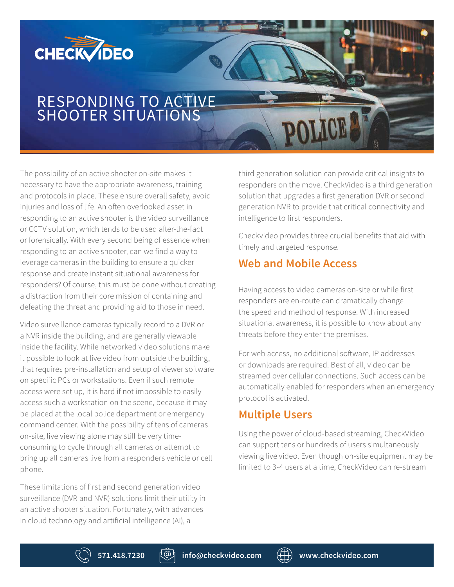

# RESPONDING TO ACTIVE SHOOTER SITUATIONS

The possibility of an active shooter on-site makes it necessary to have the appropriate awareness, training and protocols in place. These ensure overall safety, avoid injuries and loss of life. An often overlooked asset in responding to an active shooter is the video surveillance or CCTV solution, which tends to be used after-the-fact or forensically. With every second being of essence when responding to an active shooter, can we find a way to leverage cameras in the building to ensure a quicker response and create instant situational awareness for responders? Of course, this must be done without creating a distraction from their core mission of containing and defeating the threat and providing aid to those in need.

Video surveillance cameras typically record to a DVR or a NVR inside the building, and are generally viewable inside the facility. While networked video solutions make it possible to look at live video from outside the building, that requires pre-installation and setup of viewer software on specific PCs or workstations. Even if such remote access were set up, it is hard if not impossible to easily access such a workstation on the scene, because it may be placed at the local police department or emergency command center. With the possibility of tens of cameras on-site, live viewing alone may still be very timeconsuming to cycle through all cameras or attempt to bring up all cameras live from a responders vehicle or cell phone.

These limitations of first and second generation video surveillance (DVR and NVR) solutions limit their utility in an active shooter situation. Fortunately, with advances in cloud technology and artificial intelligence (AI), a

third generation solution can provide critical insights to responders on the move. CheckVideo is a third generation solution that upgrades a first generation DVR or second generation NVR to provide that critical connectivity and intelligence to first responders.

Checkvideo provides three crucial benefits that aid with timely and targeted response.

#### **Web and Mobile Access**

Having access to video cameras on-site or while first responders are en-route can dramatically change the speed and method of response. With increased situational awareness, it is possible to know about any threats before they enter the premises.

For web access, no additional software, IP addresses or downloads are required. Best of all, video can be streamed over cellular connections. Such access can be automatically enabled for responders when an emergency protocol is activated.

#### **Multiple Users**

Using the power of cloud-based streaming, CheckVideo can support tens or hundreds of users simultaneously viewing live video. Even though on-site equipment may be limited to 3-4 users at a time, CheckVideo can re-stream